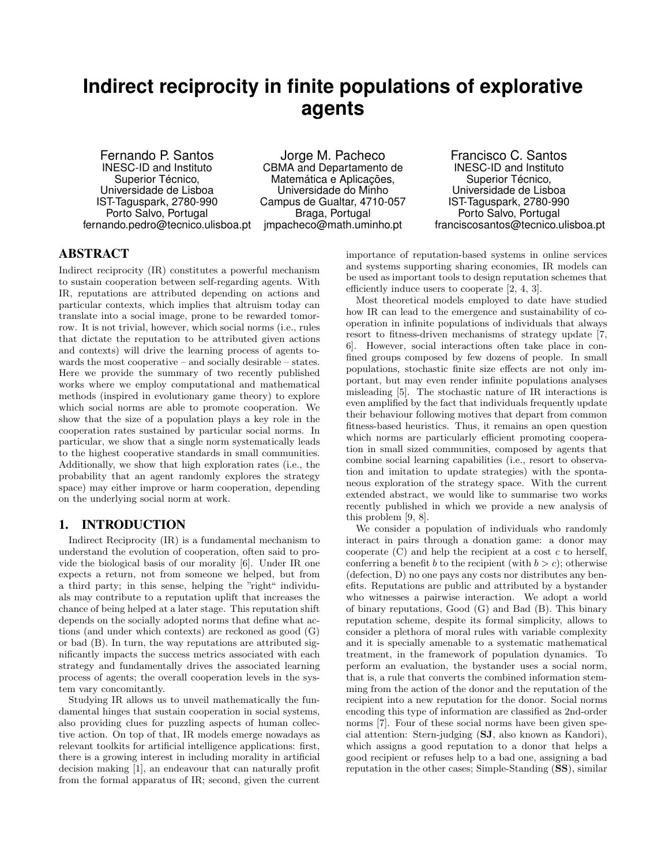# **Indirect reciprocity in finite populations of explorative agents**

Fernando P. Santos INESC-ID and Instituto Superior Técnico, Universidade de Lisboa IST-Taguspark, 2780-990 Porto Salvo, Portugal fernando.pedro@tecnico.ulisboa.pt

Jorge M. Pacheco CBMA and Departamento de Matemática e Aplicações, Universidade do Minho Campus de Gualtar, 4710-057 Braga, Portugal jmpacheco@math.uminho.pt

Francisco C. Santos INESC-ID and Instituto Superior Técnico, Universidade de Lisboa IST-Taguspark, 2780-990 Porto Salvo, Portugal franciscosantos@tecnico.ulisboa.pt

## ABSTRACT

Indirect reciprocity (IR) constitutes a powerful mechanism to sustain cooperation between self-regarding agents. With IR, reputations are attributed depending on actions and particular contexts, which implies that altruism today can translate into a social image, prone to be rewarded tomorrow. It is not trivial, however, which social norms (i.e., rules that dictate the reputation to be attributed given actions and contexts) will drive the learning process of agents towards the most cooperative – and socially desirable – states. Here we provide the summary of two recently published works where we employ computational and mathematical methods (inspired in evolutionary game theory) to explore which social norms are able to promote cooperation. We show that the size of a population plays a key role in the cooperation rates sustained by particular social norms. In particular, we show that a single norm systematically leads to the highest cooperative standards in small communities. Additionally, we show that high exploration rates (i.e., the probability that an agent randomly explores the strategy space) may either improve or harm cooperation, depending on the underlying social norm at work.

## 1. INTRODUCTION

Indirect Reciprocity (IR) is a fundamental mechanism to understand the evolution of cooperation, often said to provide the biological basis of our morality [6]. Under IR one expects a return, not from someone we helped, but from a third party; in this sense, helping the "right" individuals may contribute to a reputation uplift that increases the chance of being helped at a later stage. This reputation shift depends on the socially adopted norms that define what actions (and under which contexts) are reckoned as good (G) or bad (B). In turn, the way reputations are attributed significantly impacts the success metrics associated with each strategy and fundamentally drives the associated learning process of agents; the overall cooperation levels in the system vary concomitantly.

Studying IR allows us to unveil mathematically the fundamental hinges that sustain cooperation in social systems, also providing clues for puzzling aspects of human collective action. On top of that, IR models emerge nowadays as relevant toolkits for artificial intelligence applications: first, there is a growing interest in including morality in artificial decision making [1], an endeavour that can naturally profit from the formal apparatus of IR; second, given the current

importance of reputation-based systems in online services and systems supporting sharing economies, IR models can be used as important tools to design reputation schemes that efficiently induce users to cooperate [2, 4, 3].

Most theoretical models employed to date have studied how IR can lead to the emergence and sustainability of cooperation in infinite populations of individuals that always resort to fitness-driven mechanisms of strategy update [7, 6]. However, social interactions often take place in confined groups composed by few dozens of people. In small populations, stochastic finite size effects are not only important, but may even render infinite populations analyses misleading [5]. The stochastic nature of IR interactions is even amplified by the fact that individuals frequently update their behaviour following motives that depart from common fitness-based heuristics. Thus, it remains an open question which norms are particularly efficient promoting cooperation in small sized communities, composed by agents that combine social learning capabilities (i.e., resort to observation and imitation to update strategies) with the spontaneous exploration of the strategy space. With the current extended abstract, we would like to summarise two works recently published in which we provide a new analysis of this problem [9, 8].

We consider a population of individuals who randomly interact in pairs through a donation game: a donor may cooperate  $(C)$  and help the recipient at a cost  $c$  to herself, conferring a benefit b to the recipient (with  $b > c$ ); otherwise (defection, D) no one pays any costs nor distributes any benefits. Reputations are public and attributed by a bystander who witnesses a pairwise interaction. We adopt a world of binary reputations, Good (G) and Bad (B). This binary reputation scheme, despite its formal simplicity, allows to consider a plethora of moral rules with variable complexity and it is specially amenable to a systematic mathematical treatment, in the framework of population dynamics. To perform an evaluation, the bystander uses a social norm, that is, a rule that converts the combined information stemming from the action of the donor and the reputation of the recipient into a new reputation for the donor. Social norms encoding this type of information are classified as 2nd-order norms [7]. Four of these social norms have been given special attention: Stern-judging (SJ, also known as Kandori), which assigns a good reputation to a donor that helps a good recipient or refuses help to a bad one, assigning a bad reputation in the other cases; Simple-Standing (SS), similar